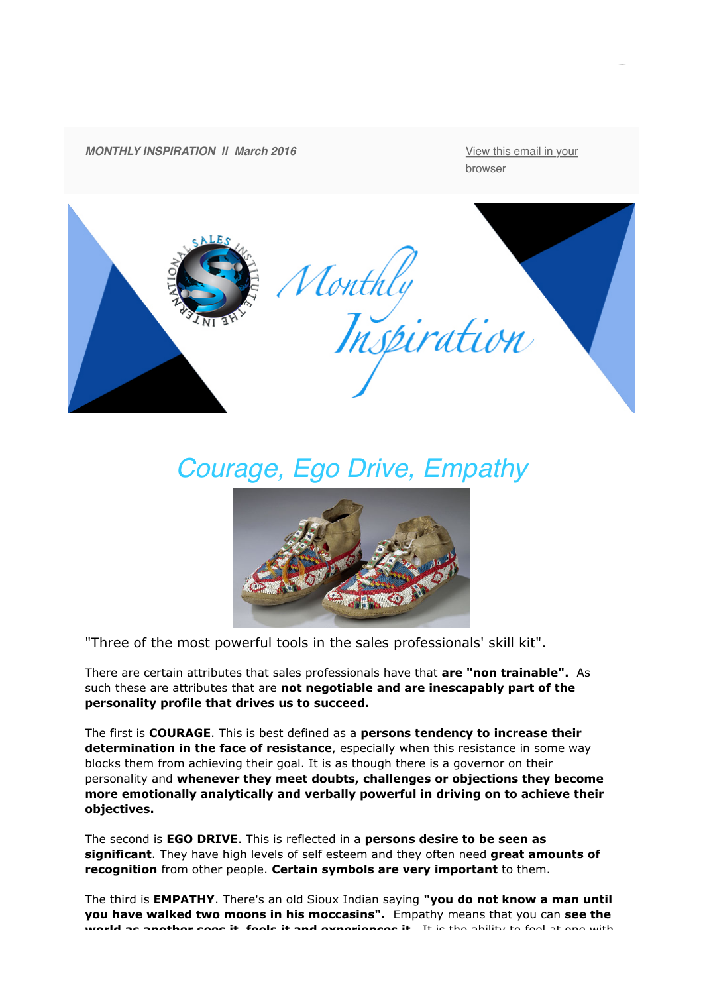

# *Courage, Ego Drive, Empathy*



"Three of the most powerful tools in the sales professionals' skill kit".

There are certain attributes that sales professionals have that **are "non trainable".** As such these are attributes that are **not negotiable and are inescapably part of the personality profile that drives us to succeed.** 

The first is **COURAGE**. This is best defined as a **persons tendency to increase their determination in the face of resistance**, especially when this resistance in some way blocks them from achieving their goal. It is as though there is a governor on their personality and **whenever they meet doubts, challenges or objections they become more emotionally analytically and verbally powerful in driving on to achieve their objectives.**

The second is **EGO DRIVE**. This is reflected in a **persons desire to be seen as significant**. They have high levels of self esteem and they often need **great amounts of recognition** from other people. **Certain symbols are very important** to them.

The third is **EMPATHY**. There's an old Sioux Indian saying **"you do not know a man until you have walked two moons in his moccasins".** Empathy means that you can **see the world as another sees it, feels it and experiences it.** It is the ability to feel at one with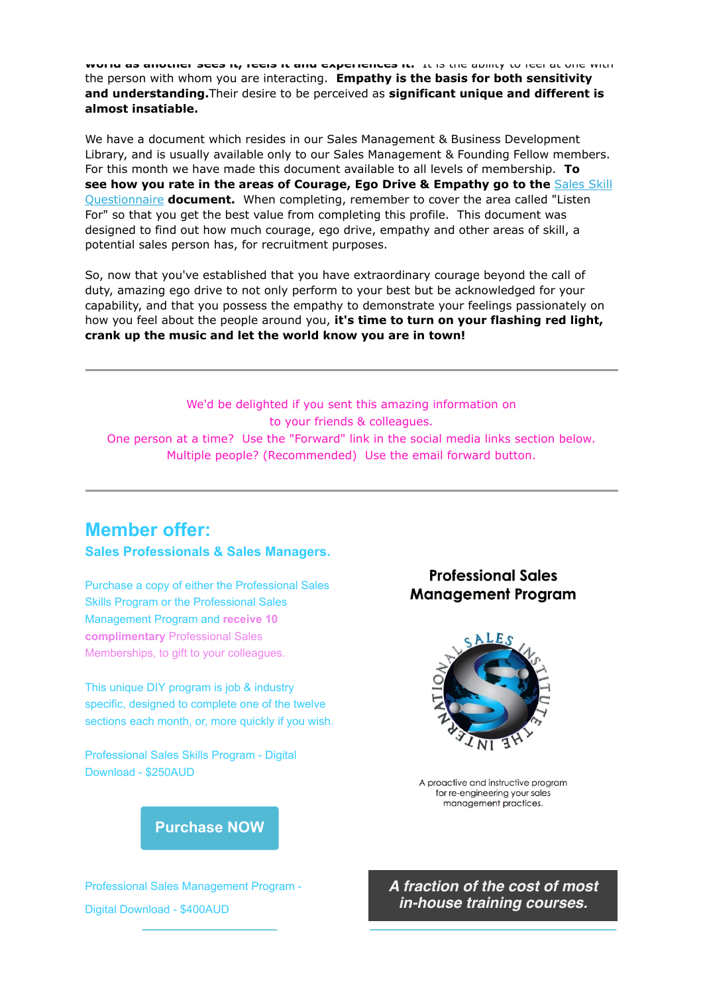**world as another sees it, feels it and experiences it.** It is the ability to feel at one with the person with whom you are interacting. **Empathy is the basis for both sensitivity and understanding.**Their desire to be perceived as **significant unique and different is almost insatiable.**

We have a document which resides in our Sales Management & Business Development Library, and is usually available only to our Sales Management & Founding Fellow members. For this month we have made this document available to all levels of membership. **To [see how you rate in the areas of Courage, Ego Drive & Empathy go to the](http://theinternationalsalesinstitute.us11.list-manage.com/track/click?u=933b80e7a2e18bb216f31e81e&id=6a0b1ba254&e=dbf1c93ab8)** Sales Skill Questionnaire **document.** When completing, remember to cover the area called "Listen For" so that you get the best value from completing this profile. This document was designed to find out how much courage, ego drive, empathy and other areas of skill, a potential sales person has, for recruitment purposes.

So, now that you've established that you have extraordinary courage beyond the call of duty, amazing ego drive to not only perform to your best but be acknowledged for your capability, and that you possess the empathy to demonstrate your feelings passionately on how you feel about the people around you, **it's time to turn on your flashing red light, crank up the music and let the world know you are in town!**

We'd be delighted if you sent this amazing information on to your friends & colleagues. One person at a time? Use the "Forward" link in the social media links section below. Multiple people? (Recommended) Use the email forward button.

## **Member offer:**

#### **Sales Professionals & Sales Managers.**

Purchase a copy of either the Professional Sales Skills Program or the Professional Sales Management Program and **receive 10 complimentary** Professional Sales Memberships, to gift to your colleagues.

This unique DIY program is job & industry specific, designed to complete one of the twelve sections each month, or, more quickly if you wish.

Professional Sales Skills Program - Digital Download - \$250AUD

### **Professional Sales Management Program**



A proactive and instructive program for re-engineering your sales management practices.

**[Purchase NOW](http://theinternationalsalesinstitute.us11.list-manage.com/track/click?u=933b80e7a2e18bb216f31e81e&id=aea6a6aeb8&e=dbf1c93ab8)**

Professional Sales Management Program - Digital Download - \$400AUD

*A fraction of the cost of most in-house training courses.*